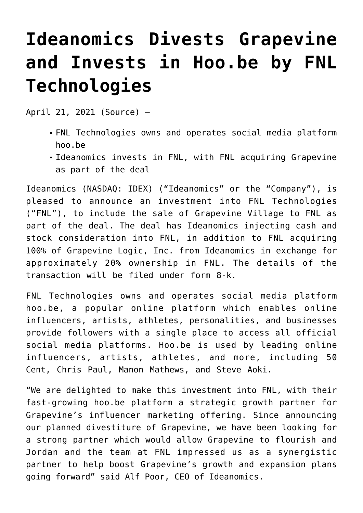## **[Ideanomics Divests Grapevine](https://investorintel.com/markets/cleantech/cleantech-news/ideanomics-divests-grapevine-and-invests-in-hoo-be-by-fnl-technologies/) [and Invests in Hoo.be by FNL](https://investorintel.com/markets/cleantech/cleantech-news/ideanomics-divests-grapevine-and-invests-in-hoo-be-by-fnl-technologies/) [Technologies](https://investorintel.com/markets/cleantech/cleantech-news/ideanomics-divests-grapevine-and-invests-in-hoo-be-by-fnl-technologies/)**

April 21, 2021 ([Source](https://www.prnewswire.com/news-releases/ideanomics-divests-grapevine-and-invests-in-hoobe-by-fnl-technologies-301273758.html)) —

- FNL Technologies owns and operates social media platform hoo.be
- Ideanomics invests in FNL, with FNL acquiring Grapevine as part of the deal

[Ideanomics](https://c212.net/c/link/?t=0&l=en&o=3136712-1&h=2016911434&u=https%3A%2F%2Fc212.net%2Fc%2Flink%2F%3Ft%3D0%26l%3Den%26o%3D2605015-1%26h%3D3496217845%26u%3Dhttp%253A%252F%252Fwww.ideanomics.com%252F%26a%3DIdeanomics&a=Ideanomics) (NASDAQ: [IDEX\)](https://www.prnewswire.com/news-releases/ideanomics-divests-grapevine-and-invests-in-hoobe-by-fnl-technologies-301273758.html#financial-modal) ("Ideanomics" or the "Company"), is pleased to announce an investment into FNL Technologies ("FNL"), to include the sale of Grapevine Village to FNL as part of the deal. The deal has Ideanomics injecting cash and stock consideration into FNL, in addition to FNL acquiring 100% of Grapevine Logic, Inc. from Ideanomics in exchange for approximately 20% ownership in FNL. The details of the transaction will be filed under form 8-k.

FNL Technologies owns and operates social media platform hoo.be, a popular online platform which enables online influencers, artists, athletes, personalities, and businesses provide followers with a single place to access all official social media platforms. Hoo.be is used by leading online influencers, artists, athletes, and more, including 50 Cent, Chris Paul, Manon Mathews, and Steve Aoki.

"We are delighted to make this investment into FNL, with their fast-growing hoo.be platform a strategic growth partner for Grapevine's influencer marketing offering. Since announcing our planned divestiture of Grapevine, we have been looking for a strong partner which would allow Grapevine to flourish and Jordan and the team at FNL impressed us as a synergistic partner to help boost Grapevine's growth and expansion plans going forward" said Alf Poor, CEO of Ideanomics.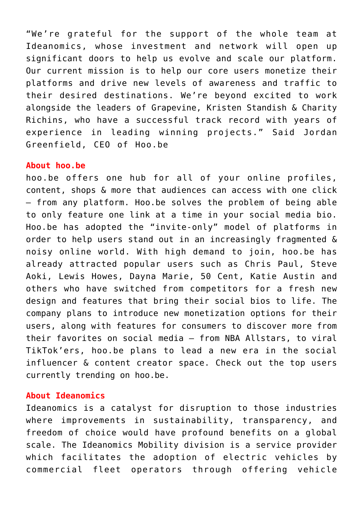"We're grateful for the support of the whole team at Ideanomics, whose investment and network will open up significant doors to help us evolve and scale our platform. Our current mission is to help our core users monetize their platforms and drive new levels of awareness and traffic to their desired destinations. We're beyond excited to work alongside the leaders of Grapevine, Kristen Standish & Charity Richins, who have a successful track record with years of experience in leading winning projects." Said Jordan Greenfield, CEO of Hoo.be

## **About hoo.be**

[hoo.be](https://c212.net/c/link/?t=0&l=en&o=3136712-1&h=590337166&u=http%3A%2F%2Fhoo.be%2F&a=hoo.be) offers one hub for all of your online profiles, content, shops & more that audiences can access with one click – from any platform. Hoo.be solves the problem of being able to only feature one link at a time in your social media bio. Hoo.be has adopted the "invite-only" model of platforms in order to help users stand out in an increasingly fragmented & noisy online world. With high demand to join, hoo.be has already attracted popular users such as Chris Paul, Steve Aoki, Lewis Howes, Dayna Marie, 50 Cent, Katie Austin and others who have switched from competitors for a fresh new design and features that bring their social bios to life. The company plans to introduce new monetization options for their users, along with features for consumers to discover more from their favorites on social media – from NBA Allstars, to viral TikTok'ers, hoo.be plans to lead a new era in the social influencer & content creator space. [Check out the top users](https://c212.net/c/link/?t=0&l=en&o=3136712-1&h=33266593&u=http%3A%2F%2Fhoo.be%2Ftrending&a=Check+out+the+top+users+currently+trending+on+hoo.be) [currently trending on hoo.be](https://c212.net/c/link/?t=0&l=en&o=3136712-1&h=33266593&u=http%3A%2F%2Fhoo.be%2Ftrending&a=Check+out+the+top+users+currently+trending+on+hoo.be).

## **About Ideanomics**

[Ideanomics](https://c212.net/c/link/?t=0&l=en&o=3136712-1&h=3625316458&u=https%3A%2F%2Fc212.net%2Fc%2Flink%2F%3Ft%3D0%26l%3Den%26o%3D2990259-1%26h%3D3307146814%26u%3Dhttp%253A%252F%252Fwww.ideanomics.com%252F%26a%3DIdeanomics&a=Ideanomics) is a catalyst for disruption to those industries where improvements in sustainability, transparency, and freedom of choice would have profound benefits on a global scale. The Ideanomics Mobility division is a service provider which facilitates the adoption of electric vehicles by commercial fleet operators through offering vehicle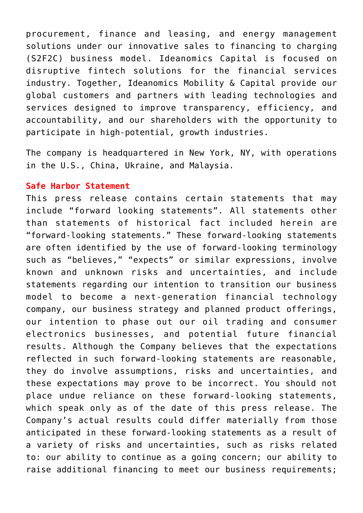procurement, finance and leasing, and energy management solutions under our innovative sales to financing to charging (S2F2C) business model. Ideanomics Capital is focused on disruptive fintech solutions for the financial services industry. Together, Ideanomics Mobility & Capital provide our global customers and partners with leading technologies and services designed to improve transparency, efficiency, and accountability, and our shareholders with the opportunity to participate in high-potential, growth industries.

The company is headquartered in New York, NY, with operations in the U.S., China, Ukraine, and Malaysia.

## **Safe Harbor Statement**

This press release contains certain statements that may include "forward looking statements". All statements other than statements of historical fact included herein are "forward-looking statements." These forward-looking statements are often identified by the use of forward-looking terminology such as "believes," "expects" or similar expressions, involve known and unknown risks and uncertainties, and include statements regarding our intention to transition our business model to become a next-generation financial technology company, our business strategy and planned product offerings, our intention to phase out our oil trading and consumer electronics businesses, and potential future financial results. Although the Company believes that the expectations reflected in such forward-looking statements are reasonable, they do involve assumptions, risks and uncertainties, and these expectations may prove to be incorrect. You should not place undue reliance on these forward-looking statements, which speak only as of the date of this press release. The Company's actual results could differ materially from those anticipated in these forward-looking statements as a result of a variety of risks and uncertainties, such as risks related to: our ability to continue as a going concern; our ability to raise additional financing to meet our business requirements;